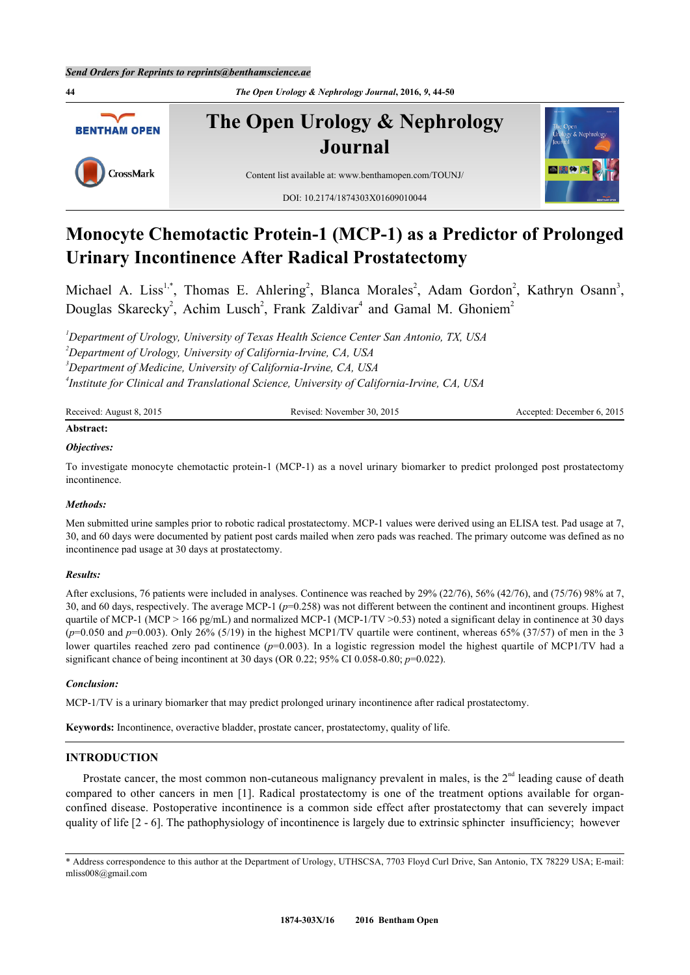**44** *The Open Urology & Nephrology Journal***, 2016,** *9***, 44-50 The Open Urology & Nephrology BENTHAM OPEN Journal** CrossMark Content list available at: [www.benthamopen.com/TOUNJ/](http://www.benthamopen.com/TOUNJ/) DOI: [10.2174/1874303X01609010044](http://dx.doi.org/10.2174/1874303X01609010044)

# **Monocyte Chemotactic Protein-1 (MCP-1) as a Predictor of Prolonged Urinary Incontinence After Radical Prostatectomy**

Michael A. Liss<sup>[1,](#page-0-0)[\\*](#page-0-1)</sup>, Thomas E. Ahlering<sup>[2](#page-0-2)</sup>, Blanca Morales<sup>2</sup>, Adam Gordon<sup>2</sup>, Kathryn Osann<sup>[3](#page-0-3)</sup>, Douglas Skarecky<sup>[2](#page-0-2)</sup>, Achim Lusch<sup>2</sup>, Frank Zaldivar<sup>[4](#page-0-4)</sup> and Gamal M. Ghoniem<sup>2</sup>

<span id="page-0-3"></span><span id="page-0-2"></span><span id="page-0-0"></span>*Department of Urology, University of Texas Health Science Center San Antonio, TX, USA Department of Urology, University of California-Irvine, CA, USA Department of Medicine, University of California-Irvine, CA, USA Institute for Clinical and Translational Science, University of California-Irvine, CA, USA*

<span id="page-0-4"></span>

| Received: August 8, 2015 | Revised: November 30, 2015 | Accepted: December 6, 2015 |  |  |
|--------------------------|----------------------------|----------------------------|--|--|
| Abstract:                |                            |                            |  |  |

# *Objectives:*

To investigate monocyte chemotactic protein-1 (MCP-1) as a novel urinary biomarker to predict prolonged post prostatectomy incontinence.

#### *Methods:*

Men submitted urine samples prior to robotic radical prostatectomy. MCP-1 values were derived using an ELISA test. Pad usage at 7, 30, and 60 days were documented by patient post cards mailed when zero pads was reached. The primary outcome was defined as no incontinence pad usage at 30 days at prostatectomy.

### *Results:*

After exclusions, 76 patients were included in analyses. Continence was reached by 29% (22/76), 56% (42/76), and (75/76) 98% at 7, 30, and 60 days, respectively. The average MCP-1 (*p*=0.258) was not different between the continent and incontinent groups. Highest quartile of MCP-1 (MCP > 166 pg/mL) and normalized MCP-1 (MCP-1/TV >0.53) noted a significant delay in continence at 30 days  $(p=0.050$  and  $p=0.003)$ . Only 26% (5/19) in the highest MCP1/TV quartile were continent, whereas 65% (37/57) of men in the 3 lower quartiles reached zero pad continence ( $p=0.003$ ). In a logistic regression model the highest quartile of MCP1/TV had a significant chance of being incontinent at 30 days (OR 0.22; 95% CI 0.058-0.80; *p*=0.022).

#### *Conclusion:*

MCP-1/TV is a urinary biomarker that may predict prolonged urinary incontinence after radical prostatectomy.

**Keywords:** Incontinence, overactive bladder, prostate cancer, prostatectomy, quality of life.

# **INTRODUCTION**

Prostate cancer, the most common non-cutaneous malignancy prevalent in males, is the  $2<sup>nd</sup>$  leading cause of death compared to other cancers in men[[1\]](#page-5-0). Radical prostatectomy is one of the treatment options available for organconfined disease. Postoperative incontinence is a common side effect after prostatectomy that can severely impact quality of life [[2](#page-5-1) - [6](#page-5-2)]. The pathophysiology of incontinence is largely due to extrinsic sphincter insufficiency; however



<span id="page-0-1"></span><sup>\*</sup> Address correspondence to this author at the Department of Urology, UTHSCSA, 7703 Floyd Curl Drive, San Antonio, TX 78229 USA; E-mail: [mliss008@gmail.com](mailto:mliss008@gmail.com)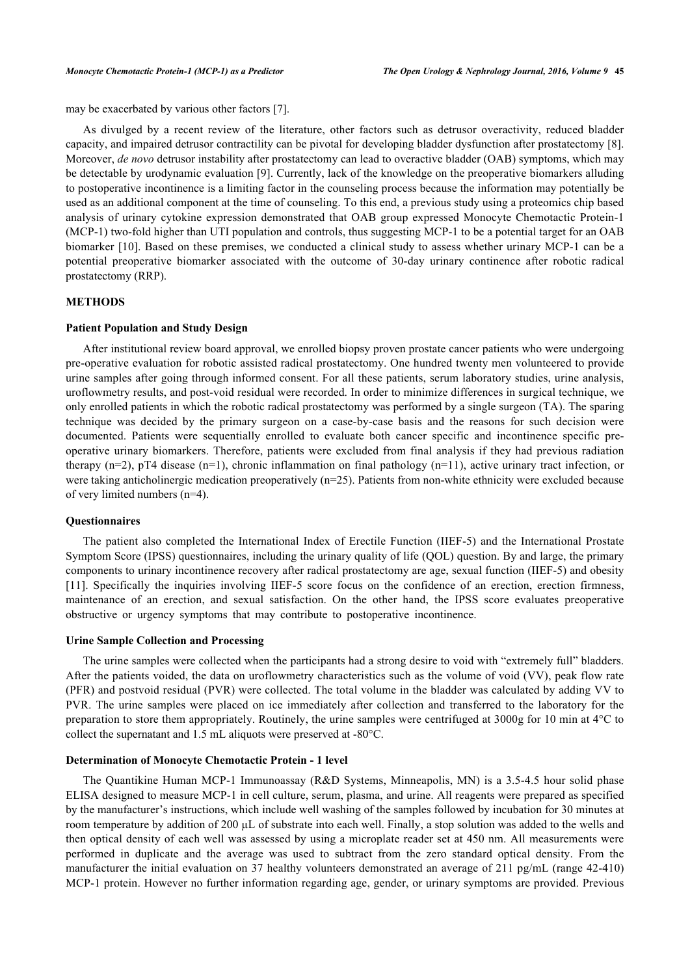may be exacerbated by various other factors [\[7](#page-5-3)].

As divulged by a recent review of the literature, other factors such as detrusor overactivity, reduced bladder capacity, and impaired detrusor contractility can be pivotal for developing bladder dysfunction after prostatectomy [[8\]](#page-5-4). Moreover, *de novo* detrusor instability after prostatectomy can lead to overactive bladder (OAB) symptoms, which may be detectable by urodynamic evaluation [[9](#page-5-5)]. Currently, lack of the knowledge on the preoperative biomarkers alluding to postoperative incontinence is a limiting factor in the counseling process because the information may potentially be used as an additional component at the time of counseling. To this end, a previous study using a proteomics chip based analysis of urinary cytokine expression demonstrated that OAB group expressed Monocyte Chemotactic Protein-1 (MCP-1) two-fold higher than UTI population and controls, thus suggesting MCP-1 to be a potential target for an OAB biomarker [\[10\]](#page-6-0). Based on these premises, we conducted a clinical study to assess whether urinary MCP-1 can be a potential preoperative biomarker associated with the outcome of 30-day urinary continence after robotic radical prostatectomy (RRP).

# **METHODS**

#### **Patient Population and Study Design**

After institutional review board approval, we enrolled biopsy proven prostate cancer patients who were undergoing pre-operative evaluation for robotic assisted radical prostatectomy. One hundred twenty men volunteered to provide urine samples after going through informed consent. For all these patients, serum laboratory studies, urine analysis, uroflowmetry results, and post-void residual were recorded. In order to minimize differences in surgical technique, we only enrolled patients in which the robotic radical prostatectomy was performed by a single surgeon (TA). The sparing technique was decided by the primary surgeon on a case-by-case basis and the reasons for such decision were documented. Patients were sequentially enrolled to evaluate both cancer specific and incontinence specific preoperative urinary biomarkers. Therefore, patients were excluded from final analysis if they had previous radiation therapy  $(n=2)$ , pT4 disease  $(n=1)$ , chronic inflammation on final pathology  $(n=11)$ , active urinary tract infection, or were taking anticholinergic medication preoperatively (n=25). Patients from non-white ethnicity were excluded because of very limited numbers (n=4).

#### **Questionnaires**

The patient also completed the International Index of Erectile Function (IIEF-5) and the International Prostate Symptom Score (IPSS) questionnaires, including the urinary quality of life (QOL) question. By and large, the primary components to urinary incontinence recovery after radical prostatectomy are age, sexual function (IIEF-5) and obesity [\[11](#page-6-1)]. Specifically the inquiries involving IIEF-5 score focus on the confidence of an erection, erection firmness, maintenance of an erection, and sexual satisfaction. On the other hand, the IPSS score evaluates preoperative obstructive or urgency symptoms that may contribute to postoperative incontinence.

# **Urine Sample Collection and Processing**

The urine samples were collected when the participants had a strong desire to void with "extremely full" bladders. After the patients voided, the data on uroflowmetry characteristics such as the volume of void (VV), peak flow rate (PFR) and postvoid residual (PVR) were collected. The total volume in the bladder was calculated by adding VV to PVR. The urine samples were placed on ice immediately after collection and transferred to the laboratory for the preparation to store them appropriately. Routinely, the urine samples were centrifuged at 3000g for 10 min at 4°C to collect the supernatant and 1.5 mL aliquots were preserved at -80°C.

#### **Determination of Monocyte Chemotactic Protein - 1 level**

The Quantikine Human MCP-1 Immunoassay (R&D Systems, Minneapolis, MN) is a 3.5-4.5 hour solid phase ELISA designed to measure MCP-1 in cell culture, serum, plasma, and urine. All reagents were prepared as specified by the manufacturer's instructions, which include well washing of the samples followed by incubation for 30 minutes at room temperature by addition of 200  $\mu$ L of substrate into each well. Finally, a stop solution was added to the wells and then optical density of each well was assessed by using a microplate reader set at 450 nm. All measurements were performed in duplicate and the average was used to subtract from the zero standard optical density. From the manufacturer the initial evaluation on 37 healthy volunteers demonstrated an average of 211 pg/mL (range 42-410) MCP-1 protein. However no further information regarding age, gender, or urinary symptoms are provided. Previous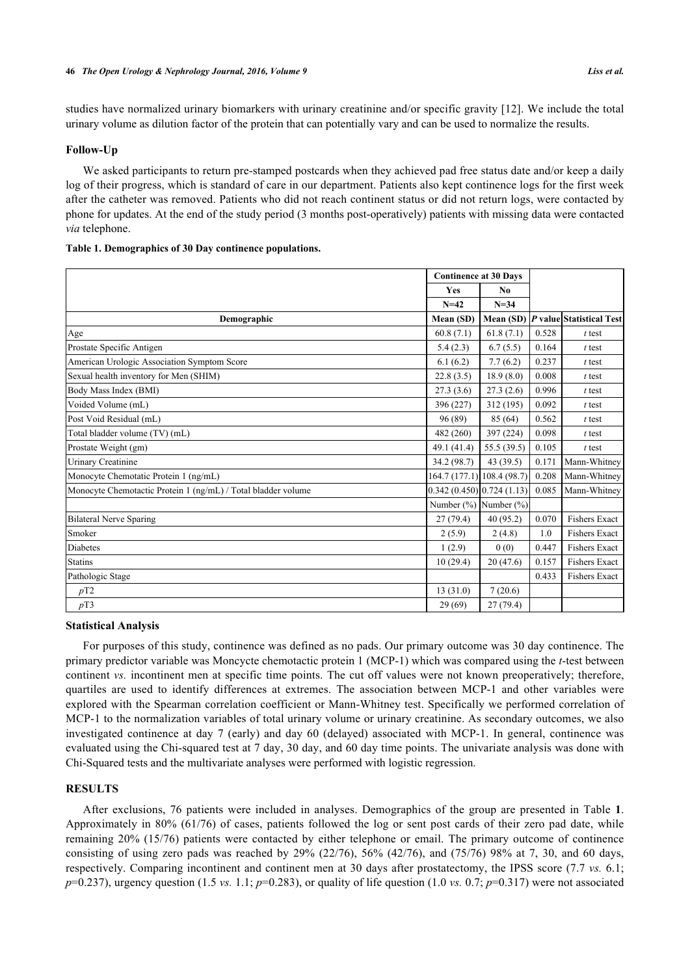studies have normalized urinary biomarkers with urinary creatinine and/or specific gravity [[12](#page-6-2)]. We include the total urinary volume as dilution factor of the protein that can potentially vary and can be used to normalize the results.

# **Follow-Up**

We asked participants to return pre-stamped postcards when they achieved pad free status date and/or keep a daily log of their progress, which is standard of care in our department. Patients also kept continence logs for the first week after the catheter was removed. Patients who did not reach continent status or did not return logs, were contacted by phone for updates. At the end of the study period (3 months post-operatively) patients with missing data were contacted *via* telephone.

# <span id="page-2-0"></span>**Table 1. Demographics of 30 Day continence populations.**

|                                                               | <b>Continence at 30 Days</b> |                |       |                                      |
|---------------------------------------------------------------|------------------------------|----------------|-------|--------------------------------------|
|                                                               | <b>Yes</b>                   | N <sub>0</sub> |       |                                      |
|                                                               | $N=42$                       | $N = 34$       |       |                                      |
| Demographic                                                   | Mean (SD)                    |                |       | Mean (SD)   P value Statistical Test |
| Age                                                           | 60.8(7.1)                    | 61.8(7.1)      | 0.528 | $t$ test                             |
| Prostate Specific Antigen                                     | 5.4(2.3)                     | 6.7(5.5)       | 0.164 | $t$ test                             |
| American Urologic Association Symptom Score                   | 6.1(6.2)                     | 7.7(6.2)       | 0.237 | $t$ test                             |
| Sexual health inventory for Men (SHIM)                        | 22.8(3.5)                    | 18.9(8.0)      | 0.008 | $t$ test                             |
| Body Mass Index (BMI)                                         | 27.3(3.6)                    | 27.3(2.6)      | 0.996 | $t$ test                             |
| Voided Volume (mL)                                            | 396 (227)                    | 312 (195)      | 0.092 | $t$ test                             |
| Post Void Residual (mL)                                       | 96 (89)                      | 85 (64)        | 0.562 | $t$ test                             |
| Total bladder volume (TV) (mL)                                | 482 (260)                    | 397 (224)      | 0.098 | $t$ test                             |
| Prostate Weight (gm)                                          | 49.1 (41.4)                  | 55.5 (39.5)    | 0.105 | $t$ test                             |
| <b>Urinary Creatinine</b>                                     | 34.2(98.7)                   | 43 (39.5)      | 0.171 | Mann-Whitney                         |
| Monocyte Chemotatic Protein 1 (ng/mL)                         | 164.7 (177.1) 108.4 (98.7)   |                | 0.208 | Mann-Whitney                         |
| Monocyte Chemotactic Protein 1 (ng/mL) / Total bladder volume | 0.342(0.450)[0.724(1.13)]    |                | 0.085 | Mann-Whitney                         |
|                                                               | Number $(\%)$ Number $(\%)$  |                |       |                                      |
| Bilateral Nerve Sparing                                       | 27(79.4)                     | 40(95.2)       | 0.070 | Fishers Exact                        |
| Smoker                                                        | 2(5.9)                       | 2(4.8)         | 1.0   | <b>Fishers Exact</b>                 |
| Diabetes                                                      | 1(2.9)                       | 0(0)           | 0.447 | <b>Fishers Exact</b>                 |
| Statins                                                       | 10(29.4)                     | 20(47.6)       | 0.157 | <b>Fishers Exact</b>                 |
| Pathologic Stage                                              |                              |                | 0.433 | <b>Fishers Exact</b>                 |
| pT2                                                           | 13(31.0)                     | 7(20.6)        |       |                                      |
| pT3                                                           | 29(69)                       | 27(79.4)       |       |                                      |

# **Statistical Analysis**

For purposes of this study, continence was defined as no pads. Our primary outcome was 30 day continence. The primary predictor variable was Moncycte chemotactic protein 1 (MCP-1) which was compared using the *t*-test between continent *vs.* incontinent men at specific time points. The cut off values were not known preoperatively; therefore, quartiles are used to identify differences at extremes. The association between MCP-1 and other variables were explored with the Spearman correlation coefficient or Mann-Whitney test. Specifically we performed correlation of MCP-1 to the normalization variables of total urinary volume or urinary creatinine. As secondary outcomes, we also investigated continence at day 7 (early) and day 60 (delayed) associated with MCP-1. In general, continence was evaluated using the Chi-squared test at 7 day, 30 day, and 60 day time points. The univariate analysis was done with Chi-Squared tests and the multivariate analyses were performed with logistic regression.

#### **RESULTS**

After exclusions, 76 patients were included in analyses. Demographics of the group are presented in Table**1**. Approximately in 80% (61/76) of cases, patients followed the log or sent post cards of their zero pad date, while remaining 20% (15/76) patients were contacted by either telephone or email. The primary outcome of continence consisting of using zero pads was reached by  $29\%$   $(22/76)$ ,  $56\%$   $(42/76)$ , and  $(75/76)$   $98\%$  at 7, 30, and 60 days, respectively. Comparing incontinent and continent men at 30 days after prostatectomy, the IPSS score (7.7 *vs.* 6.1;  $p=0.237$ ), urgency question (1.5 *vs.* 1.1;  $p=0.283$ ), or quality of life question (1.0 *vs.* 0.7;  $p=0.317$ ) were not associated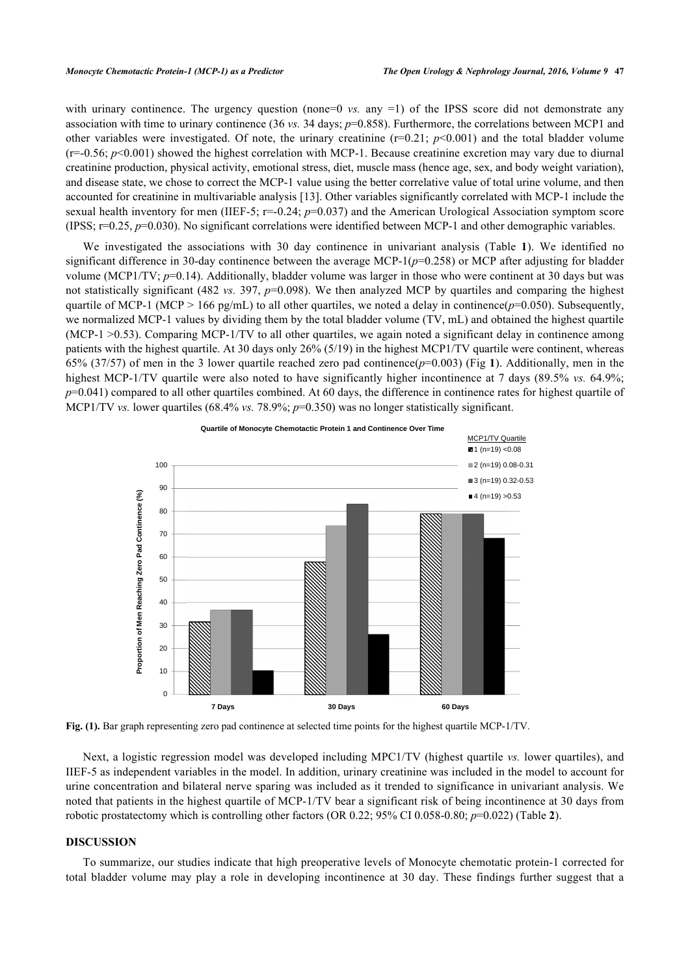with urinary continence. The urgency question (none=0 *vs.* any =1) of the IPSS score did not demonstrate any association with time to urinary continence (36 *vs.* 34 days; *p*=0.858). Furthermore, the correlations between MCP1 and other variables were investigated. Of note, the urinary creatinine  $(r=0.21; p<0.001)$  and the total bladder volume  $(r=0.56; p<0.001)$  showed the highest correlation with MCP-1. Because creatinine excretion may vary due to diurnal creatinine production, physical activity, emotional stress, diet, muscle mass (hence age, sex, and body weight variation), and disease state, we chose to correct the MCP-1 value using the better correlative value of total urine volume, and then accounted for creatinine in multivariable analysis [\[13](#page-6-3)]. Other variables significantly correlated with MCP-1 include the sexual health inventory for men (IIEF-5; r=-0.24; *p*=0.037) and the American Urological Association symptom score (IPSS; r=0.25, *p*=0.030). No significant correlations were identified between MCP-1 and other demographic variables.

We investigated the associations with 30 day continence in univariant analysis (Table**1**). We identified no significant difference in 30-day continence between the average MCP-1(*p*=0.258) or MCP after adjusting for bladder volume (MCP1/TV; *p*=0.14). Additionally, bladder volume was larger in those who were continent at 30 days but was not statistically significant (482 *vs.* 397, *p*=0.098). We then analyzed MCP by quartiles and comparing the highest quartile of MCP-1 (MCP > 166 pg/mL) to all other quartiles, we noted a delay in continence( $p=0.050$ ). Subsequently, we normalized MCP-1 values by dividing them by the total bladder volume (TV, mL) and obtained the highest quartile (MCP-1  $>0.53$ ). Comparing MCP-1/TV to all other quartiles, we again noted a significant delay in continence among patients with the highest quartile. At 30 days only 26% (5/19) in the highest MCP1/TV quartile were continent, whereas 65% (37/57) of men in the 3 lower quartile reached zero pad continence(*p*=0.003) (Fig **[1](#page-3-0)**). Additionally, men in the highest MCP-1/TV quartile were also noted to have significantly higher incontinence at 7 days (89.5% *vs.* 64.9%; *p*=0.041) compared to all other quartiles combined. At 60 days, the difference in continence rates for highest quartile of MCP1/TV *vs.* lower quartiles (68.4% *vs.* 78.9%; *p*=0.350) was no longer statistically significant.

<span id="page-3-0"></span>

**Fig. (1).** Bar graph representing zero pad continence at selected time points for the highest quartile MCP-1/TV.

Next, a logistic regression model was developed including MPC1/TV (highest quartile *vs.* lower quartiles), and IIEF-5 as independent variables in the model. In addition, urinary creatinine was included in the model to account for urine concentration and bilateral nerve sparing was included as it trended to significance in univariant analysis. We noted that patients in the highest quartile of MCP-1/TV bear a significant risk of being incontinence at 30 days from robotic prostatectomy which is controlling other factors (OR 0.22; 95% CI 0.058-0.80; *p*=0.022) (Table **[2](#page-4-0)**).

# **DISCUSSION**

To summarize, our studies indicate that high preoperative levels of Monocyte chemotatic protein-1 corrected for total bladder volume may play a role in developing incontinence at 30 day. These findings further suggest that a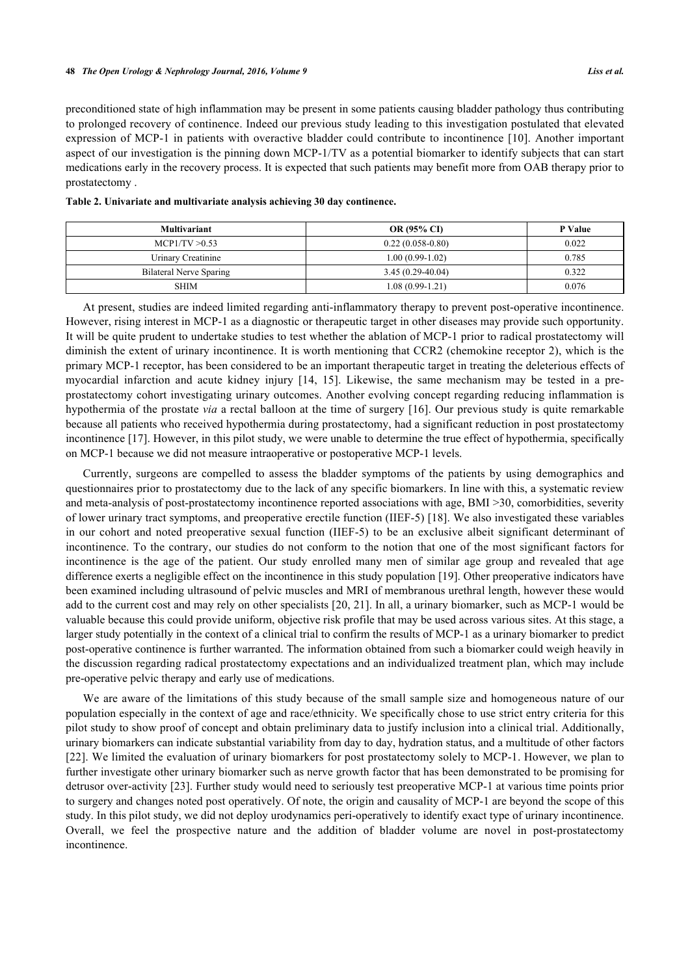preconditioned state of high inflammation may be present in some patients causing bladder pathology thus contributing to prolonged recovery of continence. Indeed our previous study leading to this investigation postulated that elevated expression of MCP-1 in patients with overactive bladder could contribute to incontinence [[10](#page-6-0)]. Another important aspect of our investigation is the pinning down MCP-1/TV as a potential biomarker to identify subjects that can start medications early in the recovery process. It is expected that such patients may benefit more from OAB therapy prior to prostatectomy .

| <b>Multivariant</b>     | <b>OR (95% CI)</b> | P Value |  |
|-------------------------|--------------------|---------|--|
| MCP1/TV > 0.53          | $0.22(0.058-0.80)$ | 0.022   |  |
| Urinary Creatinine      | $1.00(0.99-1.02)$  | 0.785   |  |
| Bilateral Nerve Sparing | $3.45(0.29-40.04)$ | 0.322   |  |
| <b>SHIM</b>             | $1.08(0.99-1.21)$  | 0.076   |  |

<span id="page-4-0"></span>**Table 2. Univariate and multivariate analysis achieving 30 day continence.**

At present, studies are indeed limited regarding anti-inflammatory therapy to prevent post-operative incontinence. However, rising interest in MCP-1 as a diagnostic or therapeutic target in other diseases may provide such opportunity. It will be quite prudent to undertake studies to test whether the ablation of MCP-1 prior to radical prostatectomy will diminish the extent of urinary incontinence. It is worth mentioning that CCR2 (chemokine receptor 2), which is the primary MCP-1 receptor, has been considered to be an important therapeutic target in treating the deleterious effects of myocardial infarction and acute kidney injury[[14](#page-6-4), [15](#page-6-5)]. Likewise, the same mechanism may be tested in a preprostatectomy cohort investigating urinary outcomes. Another evolving concept regarding reducing inflammation is hypothermia of the prostate *via* a rectal balloon at the time of surgery [[16](#page-6-6)]. Our previous study is quite remarkable because all patients who received hypothermia during prostatectomy, had a significant reduction in post prostatectomy incontinence [[17\]](#page-6-7). However, in this pilot study, we were unable to determine the true effect of hypothermia, specifically on MCP-1 because we did not measure intraoperative or postoperative MCP-1 levels.

Currently, surgeons are compelled to assess the bladder symptoms of the patients by using demographics and questionnaires prior to prostatectomy due to the lack of any specific biomarkers. In line with this, a systematic review and meta-analysis of post-prostatectomy incontinence reported associations with age, BMI >30, comorbidities, severity of lower urinary tract symptoms, and preoperative erectile function (IIEF-5) [\[18\]](#page-6-8). We also investigated these variables in our cohort and noted preoperative sexual function (IIEF-5) to be an exclusive albeit significant determinant of incontinence. To the contrary, our studies do not conform to the notion that one of the most significant factors for incontinence is the age of the patient. Our study enrolled many men of similar age group and revealed that age difference exerts a negligible effect on the incontinence in this study population [[19\]](#page-6-9). Other preoperative indicators have been examined including ultrasound of pelvic muscles and MRI of membranous urethral length, however these would add to the current cost and may rely on other specialists [[20,](#page-6-10) [21](#page-6-11)]. In all, a urinary biomarker, such as MCP-1 would be valuable because this could provide uniform, objective risk profile that may be used across various sites. At this stage, a larger study potentially in the context of a clinical trial to confirm the results of MCP-1 as a urinary biomarker to predict post-operative continence is further warranted. The information obtained from such a biomarker could weigh heavily in the discussion regarding radical prostatectomy expectations and an individualized treatment plan, which may include pre-operative pelvic therapy and early use of medications.

We are aware of the limitations of this study because of the small sample size and homogeneous nature of our population especially in the context of age and race/ethnicity. We specifically chose to use strict entry criteria for this pilot study to show proof of concept and obtain preliminary data to justify inclusion into a clinical trial. Additionally, urinary biomarkers can indicate substantial variability from day to day, hydration status, and a multitude of other factors [\[22](#page-6-12)]. We limited the evaluation of urinary biomarkers for post prostatectomy solely to MCP-1. However, we plan to further investigate other urinary biomarker such as nerve growth factor that has been demonstrated to be promising for detrusor over-activity [\[23](#page-6-13)]. Further study would need to seriously test preoperative MCP-1 at various time points prior to surgery and changes noted post operatively. Of note, the origin and causality of MCP-1 are beyond the scope of this study. In this pilot study, we did not deploy urodynamics peri-operatively to identify exact type of urinary incontinence. Overall, we feel the prospective nature and the addition of bladder volume are novel in post-prostatectomy incontinence.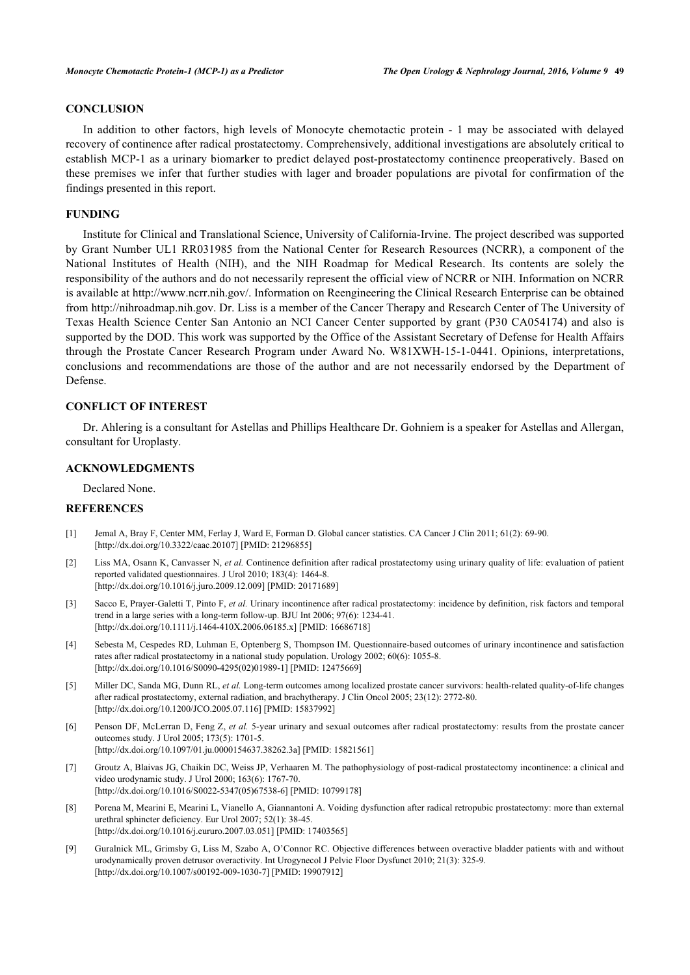# **CONCLUSION**

In addition to other factors, high levels of Monocyte chemotactic protein - 1 may be associated with delayed recovery of continence after radical prostatectomy. Comprehensively, additional investigations are absolutely critical to establish MCP-1 as a urinary biomarker to predict delayed post-prostatectomy continence preoperatively. Based on these premises we infer that further studies with lager and broader populations are pivotal for confirmation of the findings presented in this report.

#### **FUNDING**

Institute for Clinical and Translational Science, University of California-Irvine. The project described was supported by Grant Number UL1 RR031985 from the National Center for Research Resources (NCRR), a component of the National Institutes of Health (NIH), and the NIH Roadmap for Medical Research. Its contents are solely the responsibility of the authors and do not necessarily represent the official view of NCRR or NIH. Information on NCRR is available at<http://www.ncrr.nih.gov/>. Information on Reengineering the Clinical Research Enterprise can be obtained from <http://nihroadmap.nih.gov>. Dr. Liss is a member of the Cancer Therapy and Research Center of The University of Texas Health Science Center San Antonio an NCI Cancer Center supported by grant (P30 CA054174) and also is supported by the DOD. This work was supported by the Office of the Assistant Secretary of Defense for Health Affairs through the Prostate Cancer Research Program under Award No. W81XWH-15-1-0441. Opinions, interpretations, conclusions and recommendations are those of the author and are not necessarily endorsed by the Department of Defense.

# **CONFLICT OF INTEREST**

Dr. Ahlering is a consultant for Astellas and Phillips Healthcare Dr. Gohniem is a speaker for Astellas and Allergan, consultant for Uroplasty.

#### **ACKNOWLEDGMENTS**

Declared None.

#### **REFERENCES**

- <span id="page-5-0"></span>[1] Jemal A, Bray F, Center MM, Ferlay J, Ward E, Forman D. Global cancer statistics. CA Cancer J Clin 2011; 61(2): 69-90. [\[http://dx.doi.org/10.3322/caac.20107](http://dx.doi.org/10.3322/caac.20107)] [PMID: [21296855\]](http://www.ncbi.nlm.nih.gov/pubmed/21296855)
- <span id="page-5-1"></span>[2] Liss MA, Osann K, Canvasser N, *et al.* Continence definition after radical prostatectomy using urinary quality of life: evaluation of patient reported validated questionnaires. J Urol 2010; 183(4): 1464-8. [\[http://dx.doi.org/10.1016/j.juro.2009.12.009\]](http://dx.doi.org/10.1016/j.juro.2009.12.009) [PMID: [20171689](http://www.ncbi.nlm.nih.gov/pubmed/20171689)]
- [3] Sacco E, Prayer-Galetti T, Pinto F, *et al.* Urinary incontinence after radical prostatectomy: incidence by definition, risk factors and temporal trend in a large series with a long-term follow-up. BJU Int 2006; 97(6): 1234-41. [\[http://dx.doi.org/10.1111/j.1464-410X.2006.06185.x](http://dx.doi.org/10.1111/j.1464-410X.2006.06185.x)] [PMID: [16686718](http://www.ncbi.nlm.nih.gov/pubmed/16686718)]
- [4] Sebesta M, Cespedes RD, Luhman E, Optenberg S, Thompson IM. Questionnaire-based outcomes of urinary incontinence and satisfaction rates after radical prostatectomy in a national study population. Urology 2002; 60(6): 1055-8. [\[http://dx.doi.org/10.1016/S0090-4295\(02\)01989-1\]](http://dx.doi.org/10.1016/S0090-4295(02)01989-1) [PMID: [12475669](http://www.ncbi.nlm.nih.gov/pubmed/12475669)]
- [5] Miller DC, Sanda MG, Dunn RL, *et al.* Long-term outcomes among localized prostate cancer survivors: health-related quality-of-life changes after radical prostatectomy, external radiation, and brachytherapy. J Clin Oncol 2005; 23(12): 2772-80. [\[http://dx.doi.org/10.1200/JCO.2005.07.116](http://dx.doi.org/10.1200/JCO.2005.07.116)] [PMID: [15837992\]](http://www.ncbi.nlm.nih.gov/pubmed/15837992)
- <span id="page-5-2"></span>[6] Penson DF, McLerran D, Feng Z, *et al.* 5-year urinary and sexual outcomes after radical prostatectomy: results from the prostate cancer outcomes study. J Urol 2005; 173(5): 1701-5. [\[http://dx.doi.org/10.1097/01.ju.0000154637.38262.3a\]](http://dx.doi.org/10.1097/01.ju.0000154637.38262.3a) [PMID: [15821561](http://www.ncbi.nlm.nih.gov/pubmed/15821561)]
- <span id="page-5-3"></span>[7] Groutz A, Blaivas JG, Chaikin DC, Weiss JP, Verhaaren M. The pathophysiology of post-radical prostatectomy incontinence: a clinical and video urodynamic study. J Urol 2000; 163(6): 1767-70. [\[http://dx.doi.org/10.1016/S0022-5347\(05\)67538-6\]](http://dx.doi.org/10.1016/S0022-5347(05)67538-6) [PMID: [10799178](http://www.ncbi.nlm.nih.gov/pubmed/10799178)]
- <span id="page-5-4"></span>[8] Porena M, Mearini E, Mearini L, Vianello A, Giannantoni A. Voiding dysfunction after radical retropubic prostatectomy: more than external urethral sphincter deficiency. Eur Urol 2007; 52(1): 38-45. [\[http://dx.doi.org/10.1016/j.eururo.2007.03.051\]](http://dx.doi.org/10.1016/j.eururo.2007.03.051) [PMID: [17403565](http://www.ncbi.nlm.nih.gov/pubmed/17403565)]
- <span id="page-5-5"></span>[9] Guralnick ML, Grimsby G, Liss M, Szabo A, O'Connor RC. Objective differences between overactive bladder patients with and without urodynamically proven detrusor overactivity. Int Urogynecol J Pelvic Floor Dysfunct 2010; 21(3): 325-9. [\[http://dx.doi.org/10.1007/s00192-009-1030-7\]](http://dx.doi.org/10.1007/s00192-009-1030-7) [PMID: [19907912](http://www.ncbi.nlm.nih.gov/pubmed/19907912)]